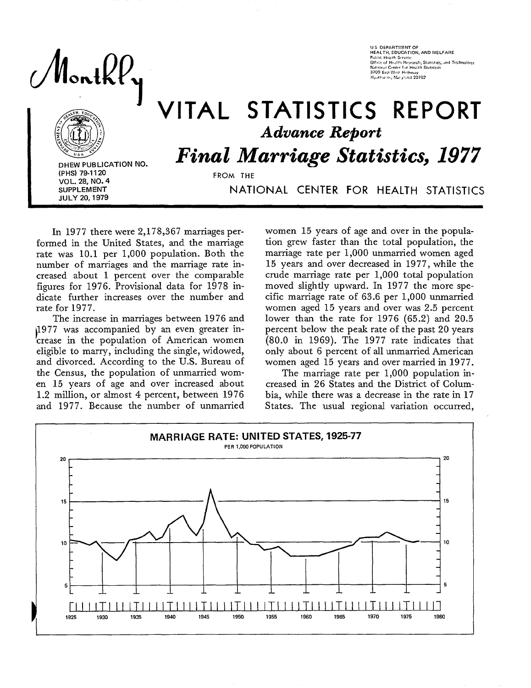Nontkf

U.S. DEPARTMENT OF<br>HEALTH, EDUCATION, AND WELFARI 3700 East-West Highwar Byuttsride, Maryland 20782

# VITAL STATISTICS REPORT *Advance Report*

**DHEW PUBLICATION NO. VOL. 28, NO. 4 sUPPLEMENT** NATIONAL CENTER FOR HEALTH STATISTICS SUPPLEMENT

**Final Marriage Statistics, 1977** 

In 1977 there were 2,178,367 marriages performed in the United States, and the marriage rate was 10.1 per 1,000 population. Both the number of marriages and the marriage rate increased about 1 percent over the comparable figures for 1976. Provisional data for 1978 indicate further increases over the number and rate for 1977.

The increase in marriages between 1976 and <br>
1977 was accompanied by an even greater in-The increase in marriages between 1976 and<br>
1977 was accompanied by an even greater in-<br>
crease in the population of American women eligible to marry, including the single, widowed, and divorced. According to the U.S. Bureau of the Census, the population of unmarried women 15 years of age and over increased about 1.2 million, or almost 4 percent, between 1976 and 1977. Because the number of unmarried

women 15 years of age and over in the population grew faster than the total population, the marriage rate per 1,000 unmarried women aged 15 years and over decreased in 1977, while the crude marriage rate per 1,000 total population moved slightly upward. In 1977 the more specific marriage rate of 63.6 per 1,000 unmarried women aged 15 years and over was 2.5 percent lower than the rate for 1976 (65.2) and 20.5 percent below the peak rate of the past 20 years (80.0 in 1969). The 1977 rate indicates that only about 6 percent of all unmarried American women aged 15 years and over married in 1977.

The marriage rate per 1,000 population increased in 26 States and the District of Columbia, while there was a decrease in the rate in 17 States. The usual regional variation occurred,



**FROM THE**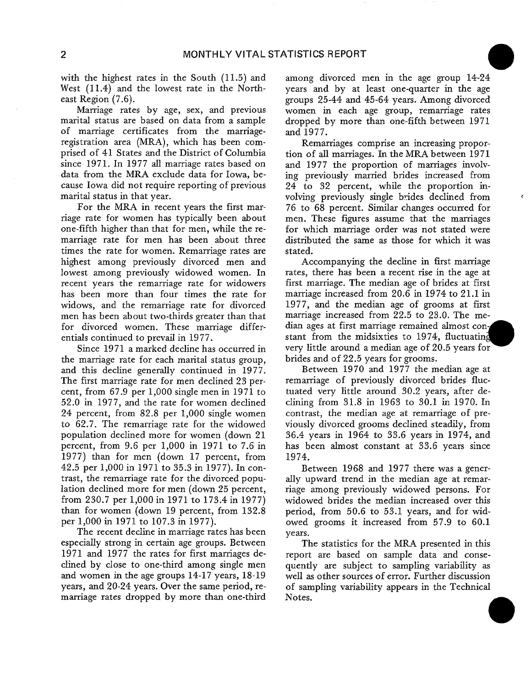with the highest rates in the South (11.5) and West  $(11.4)$  and the lowest rate in the Northeast Region (7.6).

Marriage rates by age, sex, and previous marital status are based on data from a sample of marriage certificates from the marriageregistration area (MRA), which has been comprised of 41 States and the District of Columbia since 1971. In 1977 all marriage rates based on data from the MRA exclude data for Iowa, because Iowa did not require reporting of previous marital status in that year.

For the MRA in recent years the first marriage rate for women has typically been about one-fifth higher than that for men, while the remarriage rate for men has been about three times the rate for women. Remarriage rates are highest among previously divorced men and lowest among previously widowed women. In recent years the remarriage rate for widowers has been more than four times the rate for widows, and the remarriage rate for divorced men has been about two-thirds greater than that for divorced women. These marriage differentials continued to prevail in 1977.

Since 1971 a marked decline has occurred in the marriage rate for each marital status group, and this decline generaIly continued in 1977. The first marriage rate for men declined 23 percent, from 67.9 per 1,000 single men in 1971 to 52.0 in 1977, and the rate for women declined 24 percent, from 82.8 per 1,000 single women to 62.7. The remarriage rate for the widowed population declined more for women (down 21 percent, from 9.6 per 1,000 in 1971 to 7.6 in 1977) than for men (down 17 percent, from 42.5 per 1,000 in 1971 to 35.3 in 1977). In contrast, the remarriage rate for the divorced population declined more for men (down 25 percent, from 230.7 per 1,000 in 1971 to 173.4 in 1977) than for women (down 19 percent, from 132.8 per 1,000 in 1971 to 107.3 in 1977).

The recent decline in marriage rates has been especially strong in certain age groups. Between 1971 and 1977 the rates for first marriages declined by close to one-third among single men and women in the age groups 14-17 years, 18-19 years, and 20-24 years. Over the same period, remarriage rates dropped by more than one-third among divorced men in the age group 14-24 years and by at least one-quarter in the age groups 25-44 and 45-64 years. Among divorced women in each age group, remarriage rates dropped by more than one-fifth between 1971 and 1977.

Remarriages comprise an increasing proportion of all marriages. In the MRA between 1971 and 1977 the proportion of marriages involving previously married brides increased from 24 to **32** percent, while the proportion involving previously single brides declined from 76 to 68 percent. Similar changes occurred for men. These figures assume that the marriages for which marriage order was not stated were distributed the same as those for which it was stated.

Accompanying the decIine in first marriage rates, there has been a recent rise in the age at first marriage. The median age of brides at first marriage increased from 20.6 in 1974 to 21.1 in 1977, and the median age of grooms at first marriage increased from 22.5 to 23.0. The median ages at first marriage remained almost constant from the midsixties to 1974, fluctuating very little around a median age of 20.5 years for brides and of 22.5 years for grooms.

Between 1970 and 1977 the median age at remarriage of previously divorced brides fluctuated very little around 30.2 years, after declining from 31.8 in 1963 to 30.1 in 1970. In contrast, the median age at remarriage of previously divorced grooms declined steadily, from 36.4 years in 1964 to 33.6 years in 1974, and has been almost constant at 33.6 years since 1974.

Between 1968 and 1977 there was a generaIly upward trend in the median age at remarriage among previously widowed persons. For widowed brides the median increased over this period, from 50.6 to 53.1 years, and for widowed grooms it increased from 57.9 to 60.1 years.

The statistics for the MRA presented in this report are based on sample data and consequently are subject to sampIing variability as well as other sources of error. Further discussion of sampling variability appears in the Technical Notes.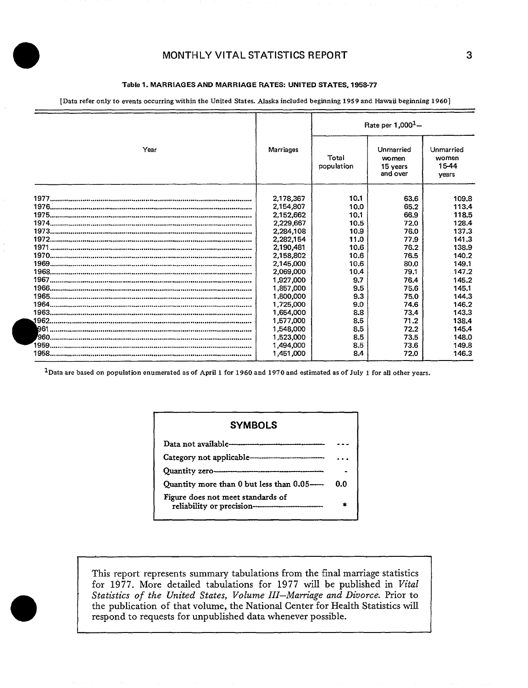## **Table** 1.**MARRIAGES AND MARRIAGE RATES UNITED STATES, 1958-77**

[Data refer only to events occurring within the United States. AJaska included beginning 1959 and Hawaii beginning 1960]

|      |           | Rate per $1,000^1 -$ |                                            |                                      |  |  |
|------|-----------|----------------------|--------------------------------------------|--------------------------------------|--|--|
| Year | Marriages | Total<br>population  | Unmarried<br>women<br>15 years<br>and over | Unmarried<br>women<br>15-44<br>vears |  |  |
|      | 2,178,367 | 10.1                 | 63.6                                       | 109.8                                |  |  |
|      | 2,154,807 | 10.0                 | 65.2                                       | 113.4                                |  |  |
|      | 2,152,662 | 10.1                 | 66.9                                       | 118.5                                |  |  |
|      | 2,229,667 | 10.5                 | 72.0                                       | 128.4                                |  |  |
|      | 2,284,108 | 10.9                 | 76.0                                       | 137.3                                |  |  |
|      | 2,282,154 | 11.0                 | 77.9                                       | 141.3                                |  |  |
|      | 2,190,481 | 10.6                 | 76.2                                       | 138.9                                |  |  |
|      | 2,158,802 | 10.6                 | 76.5                                       | 140.2                                |  |  |
|      | 2,145,000 | 10.6                 | 80.0                                       | 149.1                                |  |  |
|      | 2,069,000 | 10.4                 | 79.1                                       | 147.2                                |  |  |
|      | 1,927,000 | 9.7                  | 76.4                                       | 145.2                                |  |  |
|      | 1,857,000 | 9.5                  | 75.6                                       | 145.1                                |  |  |
|      | 1,800,000 | 9.3                  | 75.0                                       | 144.3                                |  |  |
|      | 1,725,000 | 9.0                  | 74.6                                       | 146.2                                |  |  |
|      | 1,654,000 | 8.8                  | 73.4                                       | 143.3                                |  |  |
|      | 1,577,000 | 8.5                  | 71.2                                       | 138.4                                |  |  |
|      | 1,548,000 | 8.5                  | 72.2                                       | 145.4                                |  |  |
|      | 1,523,000 | 8.5                  | 73.5                                       | 148.0                                |  |  |
|      | 1,494,000 | 8.5                  | 73.6                                       | 149.8                                |  |  |
|      | 1,451,000 | 8.4                  | 72.0                                       | 146.3                                |  |  |

<sup>1</sup>Data are based on population enumerated as of April 1 for 1960 and 1970 and estimated as of July 1 for all other years.

| n.n |
|-----|
| sk. |
|     |

This report represents summary tabulations from the final marriage statistics for 1977. More detailed tabulations for 1977 will be published in Vital Statistics of the United States, Volume III-Marriage and Divorce. Prior to the publication of that volume, the National Center for Health Statistics will respond to requests for unpublished data whenever possible.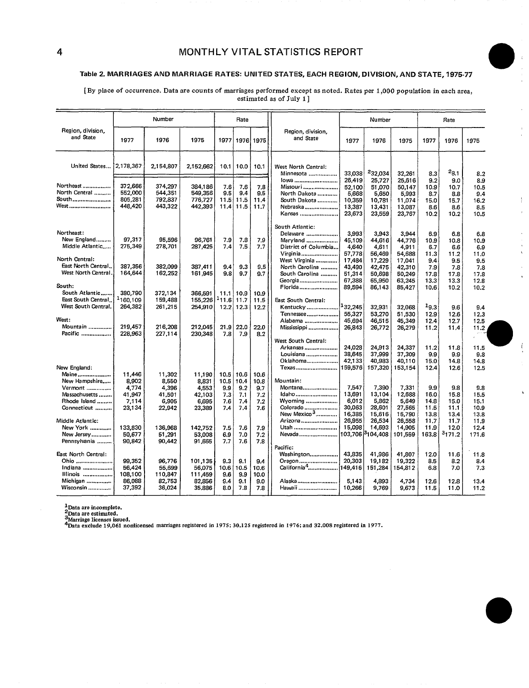# Table2, MARRIAGES AND MARRIAGE RATES: UNITED STATES, EACH REGION, DIVISION, AND STATE, 1975-77

[By place of **occurrence.** Data are counts of marriages performed except as noted. Rates per 1,000 population in each area, estimated as of July 1]

|                                                                                    |                                                       | Number                                                |                                                       |                                          | Rate<br>Number                           |                                          |                                                                                            |                                                         |                                                         |                                                         |                                           | Rate                                      |                                           |
|------------------------------------------------------------------------------------|-------------------------------------------------------|-------------------------------------------------------|-------------------------------------------------------|------------------------------------------|------------------------------------------|------------------------------------------|--------------------------------------------------------------------------------------------|---------------------------------------------------------|---------------------------------------------------------|---------------------------------------------------------|-------------------------------------------|-------------------------------------------|-------------------------------------------|
| Region, division,<br>and State                                                     | 1977                                                  | 1976                                                  | 1975                                                  | 1977                                     |                                          | 1976, 1975                               | Region, division,<br>and State                                                             | 1977                                                    | 1976                                                    | 1975                                                    | 1977                                      | 1976                                      | 1975                                      |
| United States                                                                      | 2,178,367                                             | 2,154,807                                             | 2,152,662                                             | 10.1                                     | 10.0                                     | 10.1                                     | West North Central:<br>Minnesota                                                           | 33,038                                                  | 232.034                                                 | 32.261                                                  | 8.3                                       | $^{2}8.1$                                 | 8.2                                       |
| Northeast<br>North Central<br>South<br>West                                        | 372.666<br>552,000<br>805,281<br>448,420              | 374,297<br>544.351<br>792,837<br>443,322              | 384,186<br>549,356<br>776,727<br>442,393              | 7.6<br>9.5<br>11.5<br>11.4               | 7.6<br>9.4<br>11.5<br>11.5               | 7.8<br>9.5<br>11.4<br>11.7               | lowa<br>Missouri<br>North Dakota<br>South Dakota<br>Nebraska<br>Kansas                     | 26.419<br>52,100<br>5,668<br>10,359<br>13,387<br>23,673 | 25.727<br>51,070<br>5,650<br>10,781<br>13,431<br>23,559 | 25.616<br>50.147<br>5,993<br>11,074<br>13,087<br>23,767 | 9.2<br>10.9<br>8.7<br>15.0<br>8.6<br>10.2 | 9.0<br>10.7<br>8.8<br>15.7<br>8.6<br>10.2 | 8.9<br>10.5<br>9.4<br>16.2<br>8.5<br>10.5 |
| Northeast:<br>New England<br>Middle Atlantic                                       | 97,317<br>275,349                                     | 95,596<br>278,701                                     | 96,761<br>287,425                                     | 7.9<br>7.4                               | 7.8<br>7.5                               | 7.9<br>7.7                               | South Atlantic:<br>Delaware<br>Maryland<br>District of Columbia<br>Virginia                | 3,993<br>45,109<br>4,640<br>57,778                      | 3.943<br>44,616<br>4,611<br>56,469                      | 3.944<br>44.776<br>4,911<br>54,688                      | 6.9<br>10.9<br>6.7<br>11.3                | 6.8<br>10.8<br>6.6<br>11.2                | 6.8<br>10.9<br>6.9<br>11.0                |
| North Central:<br>East North Central.<br>West North Central.<br>South:             | 387,356<br>164,644                                    | 382,099<br>162,252                                    | 387,411<br>161,945                                    | 9.4<br>9.8                               | 9.3<br>9.7                               | 9.5<br>9.7                               | West Virginia<br>North Carolina<br>South Carolina<br>Georgia<br>Florida                    | 17,484<br>43.490<br>51,314<br>67,388<br>89,594          | 17,229<br>42,475<br>50,698<br>65,950<br>86,143          | 17,041<br>42,310<br>50,249<br>63.245<br>85,427          | 9.4<br>7.9<br>17.8<br>13.3<br>10.6        | 9.5<br>7.8<br>17.8<br>13.3<br>10.2        | 9.5<br>7.8<br>17.8<br>12.8<br>10.2        |
| South Atlantic<br>East South Central<br>West South Central.<br>West:<br>Mountain   | 380,790<br><sup>1</sup> 160,109<br>264,382<br>219,457 | 372,134<br>159,488<br>261,215<br>216,208              | 366,591<br>155,226<br>254.910<br>212,045              | 11.1<br>$-11.6$<br>12.2<br>21.9          | 10.9<br>11.7<br>12.3<br>22.0             | 10.9<br>11.5<br>12.2<br>22.0             | East South Central:<br>Kentucky <sup>1</sup> 32,245<br>Tennessee<br>Alabama<br>Mississippi | 55,327<br>45,694<br>26,843                              | 32,931<br>53,270<br>46,515<br>26,772                    | 32.068<br>51,530<br>45,349<br>26,279                    | 19.3<br>12.9<br>12.4<br>11.2              | 9.6<br>12.6<br>12.7<br>11.4               | 9.4<br>12.3<br>12.5<br>11.2               |
| Pacific<br>New England:                                                            | 228,963                                               | 227,114                                               | 230,348                                               | 7.8                                      | 7.9                                      | 8.2                                      | West South Central:<br>Arkansas<br>Louisiana<br>Oklahoma<br>Texas                          | 24.028<br>38.645<br>42.133<br>159,576                   | 24,913<br>37,999<br>40,983<br>157,320                   | 24,337<br>37,309<br>40,110<br>153,154                   | 11.2<br>9.9<br>15.0<br>12.4               | 11.8<br>9.9<br>14.8<br>12.6               | 11.5<br>9.8<br>14.8<br>12.5               |
| Maine<br>New Hampshire<br>Vermont<br>Massachusetts<br>Rhode Island<br>Connecticut  | 11,446<br>8,902<br>4,774<br>41.947<br>7,114<br>23,134 | 11,302<br>8,550<br>4,396<br>41,501<br>6,905<br>22,942 | 11,190<br>8.831<br>4,553<br>42,103<br>6,695<br>23,389 | 10.5<br>10.5<br>9.9<br>7,3<br>7.6<br>7.4 | 10.6<br>10.4<br>9.2<br>7.1<br>7.4<br>7.4 | 10.6<br>10.8<br>9.7<br>7.2<br>7.2<br>7.6 | Mountain:<br>Montana<br>Idaho<br>Wyoming<br>Colorado<br>New Mexico <sup>3</sup>            | 7.547<br>13,691<br>6,012<br>30,063                      | 7,390<br>13,104<br>5,862<br>28,601                      | 7,331<br>12,688<br>5,649<br>27.565                      | 9.9<br>16.0<br>14.8<br>11.5               | 9.8<br>15.8<br>15.0<br>11.1               | 9.8<br>15.5<br>15.1<br>10.9               |
| Middle Atlantic:<br>New York<br>New Jersey<br>Pennsylvania                         | 133,830<br>50.677<br>90,842                           | 136,968<br>51,291<br>90,442                           | 142,752<br>53,008<br>91,665                           | 7.5<br>6.9<br>7.7                        | 7.6<br>7.0<br>7.6                        | 7.9<br>7.2<br>7.8                        | Arizona<br>Utah<br>Nevada<br>Pacific:                                                      | 16,385<br>26,955<br>15,098                              | 15,616<br>26,534<br>14,693<br>103,70613104,408          | 15,790<br>26,558<br>14,905<br>101,559                   | 13.8<br>11.7<br>11.9<br>163.8             | 13.4<br>11.7<br>12.0<br>3171.2            | 13.8<br>11.9<br>12.4<br>171.6             |
| East North Central:<br>Ohio<br>Indiana<br><b>Illinois</b><br>Michigan<br>Wisconsin | 99,352<br>56,424<br>108,100<br>86.088<br>37.392       | 96,776<br>55,699<br>110,847<br>82,753<br>36,024       | 101,135<br>56,075<br>111,459<br>82,856<br>35,886      | 9.3<br>10.6<br>9.6<br>9.4<br>8.0         | 9.1<br>10.5<br>9.9<br>9.1<br>7.8         | 9.4<br>10.6<br>10.0<br>9.0<br>7.8        | Washington<br>Oregon<br>California <sup>4</sup><br>Alaska<br>Hawaii                        | 43,835<br>20,303<br>149,416<br>5,143<br>10.266          | 41,986<br>19,182<br>151,284<br>4,893<br>9,769           | 41,807<br>19,322<br>154,812<br>4.734<br>9.673           | 12.0<br>8.5<br>6.8<br>12.6<br>11.5        | 11.6<br>8.2<br>7.0<br>12.8<br>11.0        | 11.8<br>8.4<br>7.3<br>13.4<br>11.2        |

\*Data are incomplete.<br><sup>2</sup>Data are estimated.<br><sup>5</sup>Marriage licenses issued.<br><sup>4</sup>Data exclude 19 061 nonlicensed marriages registered in 1975: 30.125 registered in 1976: and 32.008 registered in 1977.

i

o

 $\bar{z}$ 

 $\bar{t}$ 

 $\mathcal{I}$  $\bar{z}$ 

> $\tilde{\mathbf{v}}$  $\bar{\phantom{a}}$  $\ddot{\phantom{a}}$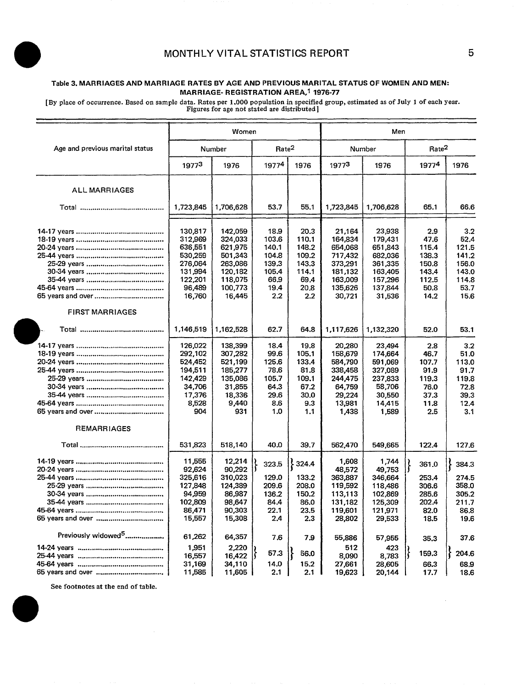## Table 3. MARRIAGES **AND MARRIAGE RATES BY AGE AND PREVIOUS MARITAL STATUS OF WOMEN AND MEN: MARRIAGE- REGISTRATION AREA, 1976-77**

[By place of occurrence. Based on sample data. Rates per 1,000 population in specified goup, estimated as of July 1 of each year. Figures for age not stated are distributed ]

|                                 |           | Women     |                   |       | Men       |           |                   |       |  |
|---------------------------------|-----------|-----------|-------------------|-------|-----------|-----------|-------------------|-------|--|
| Age and previous marital status |           | Number    | Rate <sup>2</sup> |       |           | Number    | Rate <sup>2</sup> |       |  |
|                                 | 19773     | 1976      | 19774             | 1976  | 19773     | 1976      | 19774             | 1976  |  |
| <b>ALL MARRIAGES</b>            |           |           |                   |       |           |           |                   |       |  |
|                                 | 1,723,845 | 1,706,628 | 53.7              | 55.1  | 1,723,845 | 1,706,628 | 65.1              | 66.6  |  |
|                                 | 130,817   | 142,059   | 18.9              | 20.3  | 21,164    | 23,938    | 2.9               | 3.2   |  |
|                                 | 312,969   | 324.033   | 103.6             | 110.1 | 164,834   | 179,431   | 47.6              | 52.4  |  |
|                                 | 636,551   | 621,975   | 140.1             | 148.2 | 654,068   | 651,843   | 115.4             | 121.5 |  |
|                                 | 530,259   | 501,343   | 104.8             | 109.2 | 717,432   | 682,036   | 138.3             | 141.2 |  |
|                                 | 276.064   | 263.086   | 139.3             | 143.3 | 373,291   | 361,335   | 150.8             | 156.0 |  |
|                                 | 131,994   | 120,182   | 105.4             | 114.1 | 181,132   | 163,405   | 143.4             | 143.0 |  |
|                                 | 122,201   | 118,075   | 66.9              | 69.4  | 163,009   | 157,296   | 112.5             | 114,8 |  |
|                                 | 96,489    | 100.773   | 19.4              | 20.8  | 135,626   | 137,844   | 50.8              | 53.7  |  |
|                                 | 16,760    | 16,445    | 2.2               | 2.2   | 30,721    | 31,536    | 14.2              | 15.6  |  |
| <b>FIRST MARRIAGES</b>          |           |           |                   |       |           |           |                   |       |  |
|                                 | 1,146,519 | 1,162,528 | 62.7              | 64.8  | 1,117,626 | 1,132,320 | 52.0              | 53.1  |  |
|                                 | 126,022   | 138,399   | 18.4              | 19.8  | 20,280    | 23,494    | 2.8               | 3.2   |  |
|                                 | 292,102   | 307,282   | 99.6              | 105.1 | 158,679   | 174,664   | 46.7              | 51.0  |  |
|                                 | 524,452   | 521,199   | 125.6             | 133.4 | 584,790   | 591,069   | 107.7             | 113.0 |  |
|                                 | 194,511   | 185,277   | 78.6              | 81.8  | 338,458   | 327,089   | 91.9              | 91.7  |  |
|                                 | 142,429   | 135,086   | 105.7             | 109.1 | 244,475   | 237,833   | 119.3             | 119.8 |  |
|                                 | 34,706    | 31,855    | 64.3              | 67.2  | 64,759    | 58,706    | 76.0              | 72.8  |  |
|                                 | 17,376    | 18,336    | 29.6              | 30.0  | 29,224    | 30,550    | 37.3              | 39.3  |  |
|                                 | 8,528     | 9,440     | 8.6               | 9.3   | 13,981    | 14,415    | 11.8              | 12.4  |  |
|                                 | 904       | 931       | 1.0               | 1.1   | 1,438     | 1,589     | 2.5               | 3.1   |  |
| <b>REMARRIAGES</b>              |           |           |                   |       |           |           |                   |       |  |
|                                 | 531,823   | 518,140   | 40.0              | 39.7  | 562,470   | 549,665   | 122.4             | 127.6 |  |
|                                 | 11,555    | 12,214    |                   |       | 1,608     | 1,744     |                   |       |  |
|                                 | 92,624    | 90,292    | 323.5             | 324.4 | 48,572    | 49,753    | }<br>361.0        | 384.3 |  |
|                                 | 325,616   | 310,023   | 129.0             | 133.2 | 363,887   | 346,664   | 253.4             | 274.5 |  |
|                                 | 127,848   | 124,389   | 209.6             | 208.0 | 119,592   | 118,486   | 306.6             | 358.0 |  |
|                                 | 94,959    | 86,987    | 136.2             | 150.2 | 113,113   | 102,869   | 285.6             | 305.2 |  |
|                                 | 102,809   | 98,647    | 84.4              | 86.0  | 131,182   | 125,309   | 202.4             | 211.7 |  |
|                                 | 86,471    | 90.303    | 22.1              | 23.5  | 119,601   | 121,971   | 82.0              | 86.8  |  |
|                                 | 15,557    | 15,308    | 2.4               | 2.3   | 28,802    | 29,533    | 18.5              | 19.6  |  |
| Previously widowed <sup>5</sup> | 61,262    | 64,357    | 7.6               | 7.9   | 55,886    | 57,955    | 35.3              | 37.6  |  |
|                                 | 1,951     | 2,220     |                   |       | 512       | 423       |                   |       |  |
|                                 | 16,557    | 16,422    | 57.3              | 56.0  | 8,090     | 8,783     | 159.3             | 204.6 |  |
|                                 | 31,169    | 34,110    | 14.0              | 15.2  | 27,661    | 28,605    | 66.3              | 68,9  |  |
| 65 years and over               | 11,585    | 11,605    | 2.1               | 2.1   | 19,623    | 20.144    | 17.7              | 18.6  |  |
|                                 |           |           |                   |       |           |           |                   |       |  |

See footnotes at the end of table.

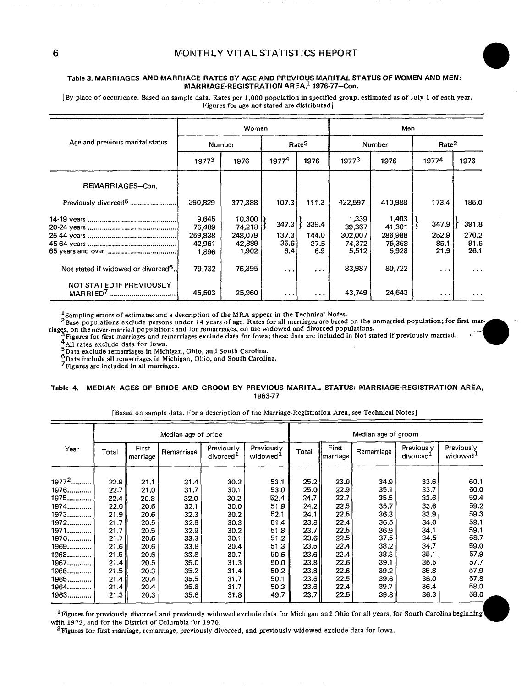#### **Table 3. MARRIAGES AND MARRIAGE RATES BY AGE AND PREVIOUS MARITAL STATUS OF WOMEN AND MEN: MARRIAGE-REGISTRATION AREA,<sup>1</sup> 1976-77–Con.**

[By place of occurrence. Based on sample data. Rates per 1,000 population in specified group, estimated as of July 1 of each year. Figures for age not stated are distributed ]

|                                                  |                                      | Women                                 |                        |                        | Men                                  |                                      |                        |                        |  |  |
|--------------------------------------------------|--------------------------------------|---------------------------------------|------------------------|------------------------|--------------------------------------|--------------------------------------|------------------------|------------------------|--|--|
| Age and previous marital status                  | Number                               |                                       |                        | Rate <sup>2</sup>      |                                      | Number                               | Rate <sup>2</sup>      |                        |  |  |
|                                                  | 19773                                | 1976                                  | $1977^4$               | 1976                   | 19773                                | 1976                                 | 19774                  | 1976                   |  |  |
| REMARRIAGES-Con.                                 |                                      |                                       |                        |                        |                                      |                                      |                        |                        |  |  |
| Previously divorced <sup>5</sup>                 | 390,829                              | 377,388                               | 107.3                  | 111.3                  | 422,597                              | 410,988                              | 173.4                  | 185.0                  |  |  |
|                                                  | 9.645<br>76.489<br>259,838<br>42.961 | 10,300<br>74.218<br>248,079<br>42,889 | 347.3<br>137.3<br>35.6 | 339.4<br>144.0<br>37.5 | 1,339<br>39,367<br>302,007<br>74,372 | 1,403<br>41.301<br>286,988<br>75,368 | 347.9<br>252.9<br>85.1 | 391.8<br>270.2<br>91.5 |  |  |
| Not stated if widowed or divorced <sup>6</sup> . | 1.896<br>79,732                      | 1,902<br>76,395                       | 6.4<br>$\cdots$        | 6.9<br>$\cdots$        | 5.512<br>83,987                      | 5,928<br>80,722                      | 21.9<br>$\cdots$       | 26.1<br>.              |  |  |
| NOT STATED IF PREVIOUSLY                         | 45,503                               | 25,960                                | $\sim$ $\sim$ $\sim$   | $\cdots$               | 43,749                               | 24,643                               | $\cdots$               | $\cdots$               |  |  |

 $^{\text{1}}$ Sampling errors of estimates and a description of the MRA appear in the Technical Notes

 $^{2}$ Base populations exclude persons under 14 years of age. Rates for all marriages are based on the unmarried population; for first marriages, on the never-married population; and for remarriages, on the widowed and div

<sup>4</sup> All rates exclude data for Iowa.<br><sup>5</sup>Data exclude remarriages in Michigan, Ohio, and South Carolina.

**6Data exclude remarriages in Michigan, Ohio, and South Carolina.**<br>7 Trigures are included in all marriages.<br>7 Figures are included in all marriages.

#### **Table 4. MEDIAN AGES OF BRIDE AND GROOM BY PREVIOUS MARITAL STATUS: MARRIAGE-REGISTRATION AREA, 1963-77**

|          | Median age of bride |                   |            |                                     |                                    |         | Median age of groom       |            |                                     |                                    |  |  |  |
|----------|---------------------|-------------------|------------|-------------------------------------|------------------------------------|---------|---------------------------|------------|-------------------------------------|------------------------------------|--|--|--|
| Year     | Total               | First<br>marriage | Remarriage | Previously<br>divorced <sup>1</sup> | Previously<br>widowed <sup>1</sup> | Total   | First<br><i>Imarriage</i> | Remarriage | Previously<br>divorced <sup>1</sup> | Previously<br>widowed <sup>1</sup> |  |  |  |
| $1977^2$ | 22.9                | 21.1              | 31.4       | 30.2                                | 53.1                               | 25.2    | 23.0                      | 34.9       | 33.6                                | 60.1                               |  |  |  |
| 1976     | 22.7                | 21,0              | 31.7       | 30.1                                | 53.0                               | 25.OH   | 22.9                      | 35.1       | 33.7                                | 60.0                               |  |  |  |
| 1975     | 22.4                | 20.8              | 32.0       | 30.2                                | 52.4                               | 24.7    | 22.7                      | 35.5       | 33.6                                | 59.4                               |  |  |  |
| 1974     | 22.0                | 20.6              | 32.1       | 30.0                                | 51.9                               | 24.2    | 22.5                      | 35.7       | 33.6                                | 59.2                               |  |  |  |
| 1973     | 21.91               | 20.6              | 32.3       | 30.2                                | 52.1                               | 24.1    | 22.5                      | 36.3       | 33.9                                | 59.3                               |  |  |  |
| 1972     | 21.7                | 20.5              | 32.8       | 30.3                                | 51.4                               | 23.8    | 22.4                      | 36.5       | 34.0                                | 59.1                               |  |  |  |
| 1971     | 21.7                | 20.5              | 32.9       | 30.2                                | 51.8                               | 23.7 II | 22.5                      | 36.9       | 34.1                                | 59.1                               |  |  |  |
| 1970     | 21.7                | 20.6              | 33.3       | 30.1                                | 51.2                               | 23.6    | 22.5                      | 37.5       | 34.5                                | 58.7                               |  |  |  |
| 1969     | 21.6                | 20.6              | 33.8       | 30.4                                | 51.3                               | 23.5    | 22.4                      | 38.2       | 34.7                                | 59.0                               |  |  |  |
| 1968     | 21.5                | 20.6              | 33.8       | 30.7                                | 50.6                               | 23.61   | 22.4                      | 38.3       | 35.1                                | 57.9                               |  |  |  |
| 1967     | 21.4                | 20.5              | 35.0       | 31.3                                | 50.0                               | 23.81   | 22.6                      | 39.1       | 35.5                                | 57,7                               |  |  |  |
| 1966     | 21.5                | 20.3              | 35.2       | 31.4                                | 50.2                               | 23.8 II | 22.6                      | 39.2       | 35.8                                | 57.9                               |  |  |  |
| 1965     | 21.4                | 20.4              | 35.5       | 31.7                                | 50.1                               | 23.6    | 22.5                      | 39.6       | 36.0                                | 57.8                               |  |  |  |
| 1964     | 21.4                | 20.4              | 35.6       | 31.7                                | 50.3                               | 23.6 II | 22.4                      | 39.7       | 36.4                                | 58.0                               |  |  |  |
| 1963     | 21.3                | 20.3              | 35.6       | 31.8                                | 49.7                               | 23.71   | 22.5                      | 39.8       | 36.3                                | 58.0                               |  |  |  |

#### [ Based on sample data. For a description of the Marriage-Registration Area, see Technical Notes]

 $^{\text{1}}$ Figures for previously divorced and previously widowed exclude data for Michigan and Ohio for all years, for South Carolina beginning with 1972, and for the District of Columbia for 1970.

 $2$ Figures for first marriage, remarriage, previously divorced, and previously widowed exclude data for Iowa.